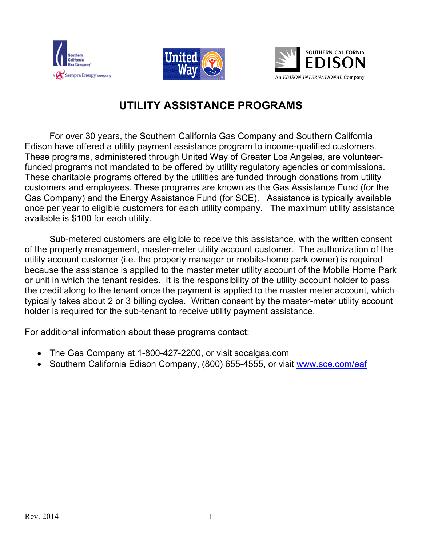





## **UTILITY ASSISTANCE PROGRAMS**

For over 30 years, the Southern California Gas Company and Southern California Edison have offered a utility payment assistance program to income-qualified customers. These programs, administered through United Way of Greater Los Angeles, are volunteerfunded programs not mandated to be offered by utility regulatory agencies or commissions. These charitable programs offered by the utilities are funded through donations from utility customers and employees. These programs are known as the Gas Assistance Fund (for the Gas Company) and the Energy Assistance Fund (for SCE). Assistance is typically available once per year to eligible customers for each utility company. The maximum utility assistance available is \$100 for each utility.

Sub-metered customers are eligible to receive this assistance, with the written consent of the property management, master-meter utility account customer. The authorization of the utility account customer (i.e. the property manager or mobile-home park owner) is required because the assistance is applied to the master meter utility account of the Mobile Home Park or unit in which the tenant resides. It is the responsibility of the utility account holder to pass the credit along to the tenant once the payment is applied to the master meter account, which typically takes about 2 or 3 billing cycles. Written consent by the master-meter utility account holder is required for the sub-tenant to receive utility payment assistance.

For additional information about these programs contact:

- The Gas Company at 1-800-427-2200, or visit socalgas.com
- Southern California Edison Company, (800) 655-4555, or visit [www.sce.com/eaf](http://www.sce.com/eaf)